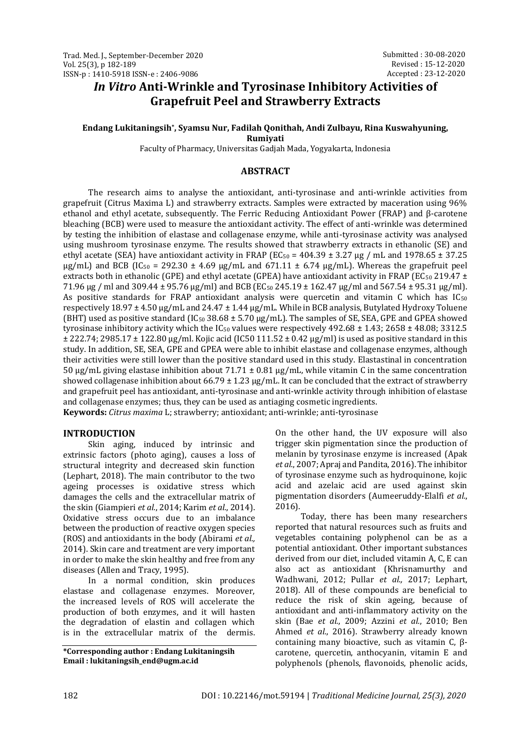# *In Vitro* **Anti-Wrinkle and Tyrosinase Inhibitory Activities of Grapefruit Peel and Strawberry Extracts**

# **Endang Lukitaningsih\* , Syamsu Nur, Fadilah Qonithah, Andi Zulbayu, Rina Kuswahyuning,**

**Rumiyati**

Faculty of Pharmacy, Universitas Gadjah Mada, Yogyakarta, Indonesia

# **ABSTRACT**

The research aims to analyse the antioxidant, anti-tyrosinase and anti-wrinkle activities from grapefruit (Citrus Maxima L) and strawberry extracts. Samples were extracted by maceration using 96% ethanol and ethyl acetate, subsequently. The Ferric Reducing Antioxidant Power (FRAP) and β-carotene bleaching (BCB) were used to measure the antioxidant activity. The effect of anti-wrinkle was determined by testing the inhibition of elastase and collagenase enzyme, while anti-tyrosinase activity was analysed using mushroom tyrosinase enzyme. The results showed that strawberry extracts in ethanolic (SE) and ethyl acetate (SEA) have antioxidant activity in FRAP (EC<sub>50</sub> = 404.39  $\pm$  3.27 µg / mL and 1978.65  $\pm$  37.25  $\mu$ g/mL) and BCB (IC<sub>50</sub> = 292.30 ± 4.69  $\mu$ g/mL and 671.11 ± 6.74  $\mu$ g/mL). Whereas the grapefruit peel extracts both in ethanolic (GPE) and ethyl acetate (GPEA) have antioxidant activity in FRAP (EC<sub>50</sub> 219.47 ± 71.96  $\mu$ g / ml and 309.44 ± 95.76  $\mu$ g/ml) and BCB (EC<sub>50</sub> 245.19 ± 162.47  $\mu$ g/ml and 567.54 ± 95.31  $\mu$ g/ml). As positive standards for FRAP antioxidant analysis were quercetin and vitamin C which has  $IC_{50}$ respectively 18.97 ± 4.50 µg/mL and 24.47 ± 1.44 µg/mL. While in BCB analysis, Butylated Hydroxy Toluene (BHT) used as positive standard (IC<sub>50</sub> 38.68  $\pm$  5.70  $\mu$ g/mL). The samples of SE, SEA, GPE and GPEA showed tyrosinase inhibitory activity which the  $IC_{50}$  values were respectively 492.68 ± 1.43; 2658 ± 48.08; 3312.5  $\pm$  222.74; 2985.17  $\pm$  122.80 µg/ml. Kojic acid (IC50 111.52  $\pm$  0.42 µg/ml) is used as positive standard in this study. In addition, SE, SEA, GPE and GPEA were able to inhibit elastase and collagenase enzymes, although their activities were still lower than the positive standard used in this study. Elastastinal in concentration 50  $\mu$ g/mL giving elastase inhibition about 71.71  $\pm$  0.81  $\mu$ g/mL, while vitamin C in the same concentration showed collagenase inhibition about  $66.79 \pm 1.23 \,\text{kg/mL}$ . It can be concluded that the extract of strawberry and grapefruit peel has antioxidant, anti-tyrosinase and anti-wrinkle activity through inhibition of elastase and collagenase enzymes; thus, they can be used as antiaging cosmetic ingredients.

**Keywords:** *Citrus maxima* L; strawberry; antioxidant; anti-wrinkle; anti-tyrosinase

# **INTRODUCTION**

Skin aging, induced by intrinsic and extrinsic factors (photo aging), causes a loss of structural integrity and decreased skin function (Lephart, 2018). The main contributor to the two ageing processes is oxidative stress which damages the cells and the extracellular matrix of the skin (Giampieri *et al.*, 2014; Karim *et al.*, 2014). Oxidative stress occurs due to an imbalance between the production of reactive oxygen species (ROS) and antioxidants in the body (Abirami *et al.,* 2014). Skin care and treatment are very important in order to make the skin healthy and free from any diseases (Allen and Tracy, 1995).

In a normal condition, skin produces elastase and collagenase enzymes. Moreover, the increased levels of ROS will accelerate the production of both enzymes, and it will hasten the degradation of elastin and collagen which is in the extracellular matrix of the dermis.

**\*Corresponding author : Endang Lukitaningsih Email : lukitaningsih\_end@ugm.ac.id**

On the other hand, the UV exposure will also trigger skin pigmentation since the production of melanin by tyrosinase enzyme is increased (Apak *et al.*, 2007; Apraj and Pandita, 2016). The inhibitor of tyrosinase enzyme such as hydroquinone, kojic acid and azelaic acid are used against skin pigmentation disorders (Aumeeruddy-Elalfi *et al.*, 2016).

Today, there has been many researchers reported that natural resources such as fruits and vegetables containing polyphenol can be as a potential antioxidant. Other important substances derived from our diet, included vitamin A, C, E can also act as antioxidant (Khrisnamurthy and Wadhwani, 2012; Pullar *et al.,* 2017; Lephart, 2018). All of these compounds are beneficial to reduce the risk of skin ageing, because of antioxidant and anti-inflammatory activity on the skin (Bae *et al.*, 2009; Azzini *et al.*, 2010; Ben Ahmed *et al.*, 2016). Strawberry already known containing many bioactive, such as vitamin C, βcarotene, quercetin, anthocyanin, vitamin E and polyphenols (phenols, flavonoids, phenolic acids,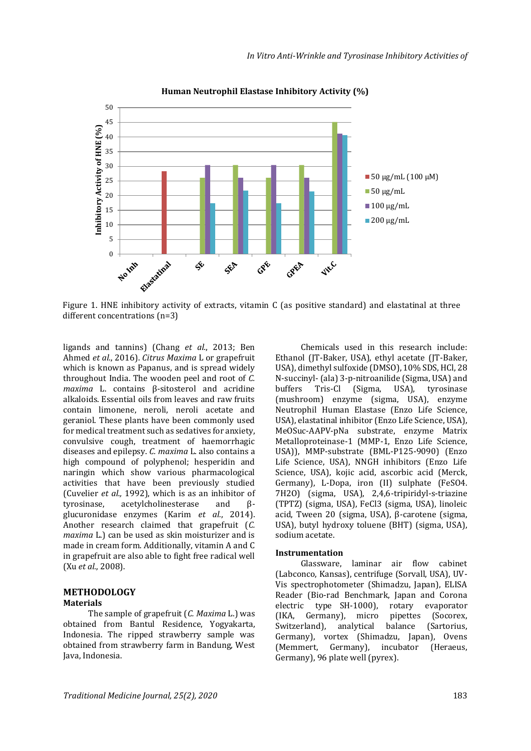

**Human Neutrophil Elastase Inhibitory Activity (%)** 

Figure 1. HNE inhibitory activity of extracts, vitamin C (as positive standard) and elastatinal at three different concentrations (n=3)

ligands and tannins) (Chang *et al.*, 2013; Ben Ahmed *et al.*, 2016). *Citrus Maxima* L or grapefruit which is known as Papanus, and is spread widely throughout India. The wooden peel and root of *C. maxima* L. contains β-sitosterol and acridine alkaloids. Essential oils from leaves and raw fruits contain limonene, neroli, neroli acetate and geraniol. These plants have been commonly used for medical treatment such as sedatives for anxiety, convulsive cough, treatment of haemorrhagic diseases and epilepsy. *C. maxima* L. also contains a high compound of polyphenol; hesperidin and naringin which show various pharmacological activities that have been previously studied (Cuvelier *et al.*, 1992), which is as an inhibitor of tyrosinase, acetylcholinesterase and Btyrosinase, acetylcholinesterase and glucuronidase enzymes (Karim *et al.*, 2014). Another research claimed that grapefruit (*C. maxima* L.) can be used as skin moisturizer and is made in cream form. Additionally, vitamin A and C in grapefruit are also able to fight free radical well (Xu *et al.*, 2008).

# **METHODOLOGY Materials**

The sample of grapefruit (*C. Maxima* L.) was obtained from Bantul Residence, Yogyakarta, Indonesia. The ripped strawberry sample was obtained from strawberry farm in Bandung, West Java, Indonesia.

Chemicals used in this research include: Ethanol (JT-Baker, USA), ethyl acetate (JT-Baker, USA), dimethyl sulfoxide (DMSO), 10% SDS, HCl, 28 N-succinyl- (ala) 3-p-nitroanilide (Sigma, USA) and buffers Tris-Cl (Sigma, USA), tyrosinase (mushroom) enzyme (sigma, USA), enzyme Neutrophil Human Elastase (Enzo Life Science, USA), elastatinal inhibitor (Enzo Life Science, USA), MeOSuc-AAPV-pNa substrate, enzyme Matrix Metalloproteinase-1 (MMP-1, Enzo Life Science, USA)), MMP-substrate (BML-P125-9090) (Enzo Life Science, USA), NNGH inhibitors (Enzo Life Science, USA), kojic acid, ascorbic acid (Merck, Germany), L-Dopa, iron (II) sulphate (FeSO4. 7H2O) (sigma, USA), 2,4,6-tripiridyl-s-triazine (TPTZ) (sigma, USA), FeCl3 (sigma, USA), linoleic acid, Tween 20 (sigma, USA), β-carotene (sigma, USA), butyl hydroxy toluene (BHT) (sigma, USA), sodium acetate.

## **Instrumentation**

Glassware, laminar air flow cabinet (Labconco, Kansas), centrifuge (Sorvall, USA), UV-Vis spectrophotometer (Shimadzu, Japan), ELISA Reader (Bio-rad Benchmark, Japan and Corona electric type SH-1000), rotary evaporator (IKA, Germany), micro pipettes (Socorex, Switzerland), analytical balance (Sartorius, Germany), vortex (Shimadzu, Japan), Ovens (Memmert, Germany), incubator (Heraeus, Germany), 96 plate well (pyrex).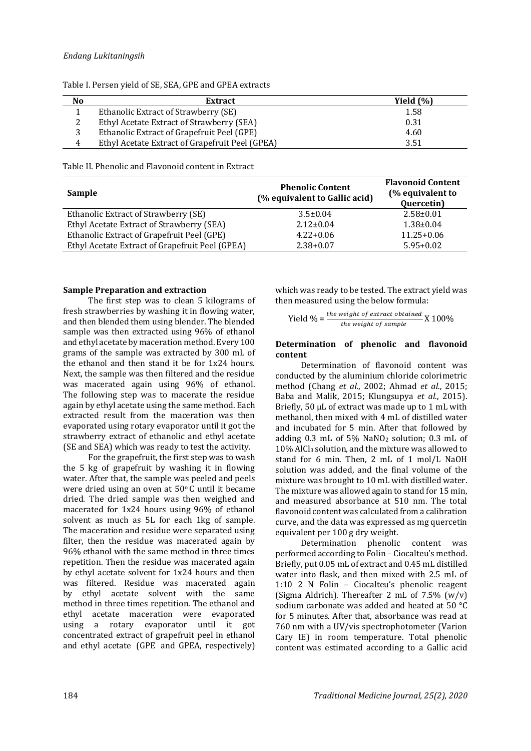## *Endang Lukitaningsih*

| No             | <b>Extract</b>                                  | Yield $(\% )$ |
|----------------|-------------------------------------------------|---------------|
|                | Ethanolic Extract of Strawberry (SE)            | 1.58          |
| 2              | Ethyl Acetate Extract of Strawberry (SEA)       | 0.31          |
|                | Ethanolic Extract of Grapefruit Peel (GPE)      | 4.60          |
| $\overline{4}$ | Ethyl Acetate Extract of Grapefruit Peel (GPEA) | 3.51          |

Table I. Persen yield of SE, SEA, GPE and GPEA extracts

Table II. Phenolic and Flavonoid content in Extract

| Sample                                          | <b>Phenolic Content</b><br>(% equivalent to Gallic acid) | <b>Flavonoid Content</b><br>(% equivalent to<br>Quercetin) |
|-------------------------------------------------|----------------------------------------------------------|------------------------------------------------------------|
| Ethanolic Extract of Strawberry (SE)            | $3.5 \pm 0.04$                                           | $2.58 \pm 0.01$                                            |
| Ethyl Acetate Extract of Strawberry (SEA)       | $2.12 \pm 0.04$                                          | $1.38 \pm 0.04$                                            |
| Ethanolic Extract of Grapefruit Peel (GPE)      | $4.22+0.06$                                              | $11.25 + 0.06$                                             |
| Ethyl Acetate Extract of Grapefruit Peel (GPEA) | $2.38 + 0.07$                                            | $5.95 + 0.02$                                              |

## **Sample Preparation and extraction**

The first step was to clean 5 kilograms of fresh strawberries by washing it in flowing water, and then blended them using blender. The blended sample was then extracted using 96% of ethanol and ethyl acetate by maceration method. Every 100 grams of the sample was extracted by 300 mL of the ethanol and then stand it be for 1x24 hours. Next, the sample was then filtered and the residue was macerated again using 96% of ethanol. The following step was to macerate the residue again by ethyl acetate using the same method. Each extracted result from the maceration was then evaporated using rotary evaporator until it got the strawberry extract of ethanolic and ethyl acetate (SE and SEA) which was ready to test the activity.

For the grapefruit, the first step was to wash the 5 kg of grapefruit by washing it in flowing water. After that, the sample was peeled and peels were dried using an oven at  $50^{\circ}$  C until it became dried. The dried sample was then weighed and macerated for 1x24 hours using 96% of ethanol solvent as much as 5L for each 1kg of sample. The maceration and residue were separated using filter, then the residue was macerated again by 96% ethanol with the same method in three times repetition. Then the residue was macerated again by ethyl acetate solvent for 1x24 hours and then was filtered. Residue was macerated again by ethyl acetate solvent with the same method in three times repetition. The ethanol and ethyl acetate maceration were evaporated using a rotary evaporator until it got concentrated extract of grapefruit peel in ethanol and ethyl acetate (GPE and GPEA, respectively) which was ready to be tested. The extract yield was then measured using the below formula:

$$
Yield\% = \frac{the \text{ weight of extract obtained}}{the \text{ weight of sample}} X 100\%
$$

#### **Determination of phenolic and flavonoid content**

Determination of flavonoid content was conducted by the aluminium chloride colorimetric method (Chang *et al.*, 2002; Ahmad *et al.*, 2015; Baba and Malik, 2015; Klungsupya *et al.*, 2015). Briefly, 50 µL of extract was made up to 1 mL with methanol, then mixed with 4 mL of distilled water and incubated for 5 min. After that followed by adding 0.3 mL of 5% NaNO<sup>2</sup> solution; 0.3 mL of 10% AlCl<sup>3</sup> solution, and the mixture was allowed to stand for 6 min. Then, 2 mL of 1 mol/L NaOH solution was added, and the final volume of the mixture was brought to 10 mL with distilled water. The mixture was allowed again to stand for 15 min, and measured absorbance at 510 nm. The total flavonoid content was calculated from a calibration curve, and the data was expressed as mg quercetin equivalent per 100 g dry weight.

Determination phenolic content was performed according to Folin – Ciocalteu's method. Briefly, put 0.05 mL of extract and 0.45 mL distilled water into flask, and then mixed with 2.5 mL of 1:10 2 N Folin – Ciocalteu's phenolic reagent (Sigma Aldrich). Thereafter 2 mL of  $7.5\%$  (w/v) sodium carbonate was added and heated at 50 °C for 5 minutes. After that, absorbance was read at 760 nm with a UV/vis spectrophotometer (Varion Cary IE) in room temperature. Total phenolic content was estimated according to a Gallic acid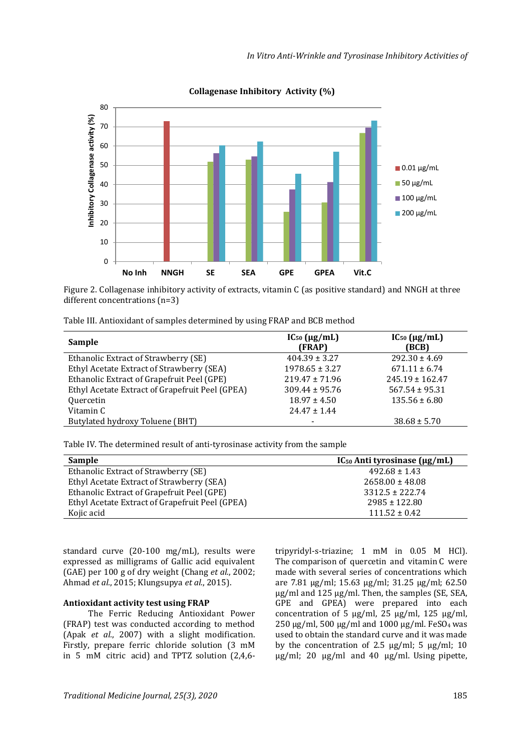

**Collagenase Inhibitory Activity (%)**

Figure 2. Collagenase inhibitory activity of extracts, vitamin C (as positive standard) and NNGH at three different concentrations (n=3)

| Table III. Antioxidant of samples determined by using FRAP and BCB method |  |  |
|---------------------------------------------------------------------------|--|--|
|---------------------------------------------------------------------------|--|--|

| $IC_{50}$ ( $\mu$ g/mL)<br>(FRAP) | $IC_{50}$ ( $\mu$ g/mL)<br>(BCB) |
|-----------------------------------|----------------------------------|
| $404.39 \pm 3.27$                 | $292.30 \pm 4.69$                |
| $1978.65 \pm 3.27$                | $671.11 \pm 6.74$                |
| $219.47 \pm 71.96$                | $245.19 \pm 162.47$              |
| $309.44 \pm 95.76$                | $567.54 \pm 95.31$               |
| $18.97 \pm 4.50$                  | $135.56 \pm 6.80$                |
| $24.47 \pm 1.44$                  |                                  |
|                                   | $38.68 \pm 5.70$                 |
|                                   |                                  |

Table IV. The determined result of anti-tyrosinase activity from the sample

| <b>Sample</b>                                   | $IC_{50}$ Anti tyrosinase ( $\mu$ g/mL) |
|-------------------------------------------------|-----------------------------------------|
| Ethanolic Extract of Strawberry (SE)            | $492.68 \pm 1.43$                       |
| Ethyl Acetate Extract of Strawberry (SEA)       | $2658.00 \pm 48.08$                     |
| Ethanolic Extract of Grapefruit Peel (GPE)      | $3312.5 \pm 222.74$                     |
| Ethyl Acetate Extract of Grapefruit Peel (GPEA) | $2985 \pm 122.80$                       |
| Kojic acid                                      | $111.52 \pm 0.42$                       |

standard curve (20-100 mg/mL), results were expressed as milligrams of Gallic acid equivalent (GAE) per 100 g of dry weight (Chang *et al.*, 2002; Ahmad *et al.*, 2015; Klungsupya *et al.*, 2015).

# **Antioxidant activity test using FRAP**

The Ferric Reducing Antioxidant Power (FRAP) test was conducted according to method (Apak *et al.*, 2007) with a slight modification. Firstly, prepare ferric chloride solution (3 mM in 5 mM citric acid) and TPTZ solution (2,4,6tripyridyl-s-triazine; 1 mM in 0.05 M HCl). The comparison of quercetin and vitamin C were made with several series of concentrations which are 7.81 µg/ml; 15.63 µg/ml; 31.25 µg/ml; 62.50 µg/ml and 125 µg/ml. Then, the samples (SE, SEA, GPE and GPEA) were prepared into each concentration of 5  $\mu$ g/ml, 25  $\mu$ g/ml, 125  $\mu$ g/ml, 250 µg/ml, 500 µg/ml and 1000 µg/ml. FeSO4 was used to obtain the standard curve and it was made by the concentration of 2.5  $\mu$ g/ml; 5  $\mu$ g/ml; 10  $\mu$ g/ml; 20  $\mu$ g/ml and 40  $\mu$ g/ml. Using pipette,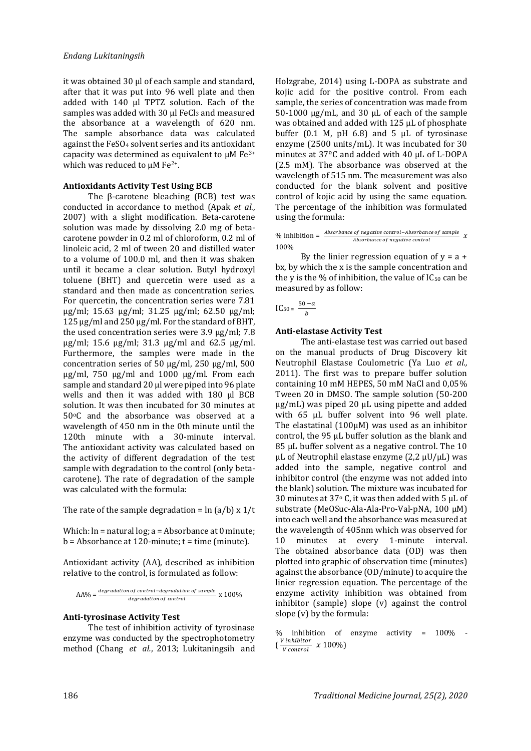it was obtained 30 µl of each sample and standard, after that it was put into 96 well plate and then added with 140 µl TPTZ solution. Each of the samples was added with 30 µl FeCl3 and measured the absorbance at a wavelength of 620 nm. The sample absorbance data was calculated against the FeSO<sup>4</sup> solvent series and its antioxidant capacity was determined as equivalent to  $\mu$ M Fe<sup>3+</sup> which was reduced to  $\mu$ M Fe<sup>2+</sup>.

## **Antioxidants Activity Test Using BCB**

The β-carotene bleaching (BCB) test was conducted in accordance to method (Apak *et al.*, 2007) with a slight modification. Beta-carotene solution was made by dissolving 2.0 mg of betacarotene powder in 0.2 ml of chloroform, 0.2 ml of linoleic acid, 2 ml of tween 20 and distilled water to a volume of 100.0 ml, and then it was shaken until it became a clear solution. Butyl hydroxyl toluene (BHT) and quercetin were used as a standard and then made as concentration series. For quercetin, the concentration series were 7.81 µg/ml; 15.63 µg/ml; 31.25 µg/ml; 62.50 µg/ml; 125 µg/ml and 250 µg/ml. For the standard of BHT, the used concentration series were 3.9 µg/ml; 7.8 µg/ml; 15.6 µg/ml; 31.3 µg/ml and 62.5 µg/ml. Furthermore, the samples were made in the concentration series of 50 µg/ml, 250 µg/ml, 500 µg/ml, 750 µg/ml and 1000 µg/ml. From each sample and standard 20 µl were piped into 96 plate wells and then it was added with 180 µl BCB solution. It was then incubated for 30 minutes at 50°C and the absorbance was observed at a wavelength of 450 nm in the 0th minute until the 120th minute with a 30-minute interval. The antioxidant activity was calculated based on the activity of different degradation of the test sample with degradation to the control (only betacarotene). The rate of degradation of the sample was calculated with the formula:

The rate of the sample degradation =  $\ln (a/b) \times 1/t$ 

Which: ln = natural log; a = Absorbance at 0 minute;  $b = Absorbance at 120-minute; t = time (minute).$ 

Antioxidant activity (AA), described as inhibition relative to the control, is formulated as follow:

$$
AA\% = \frac{degradation\ of\ control-degradation\ of\ sample}{degradation\ of\ control}
$$
 x 100%

## **Anti-tyrosinase Activity Test**

The test of inhibition activity of tyrosinase enzyme was conducted by the spectrophotometry method (Chang *et al.*, 2013; Lukitaningsih and

Holzgrabe, 2014) using L-DOPA as substrate and kojic acid for the positive control. From each sample, the series of concentration was made from 50-1000 µg/mL, and 30 μL of each of the sample was obtained and added with 125 μL of phosphate buffer (0.1 M, pH 6.8) and 5 μL of tyrosinase enzyme (2500 units/mL). It was incubated for 30 minutes at 37ºC and added with 40 μL of L-DOPA (2.5 mM). The absorbance was observed at the wavelength of 515 nm. The measurement was also conducted for the blank solvent and positive control of kojic acid by using the same equation. The percentage of the inhibition was formulated using the formula:

% inhibition =  $\frac{Absorbane\ of\ negative\ control-Absorbane\ of\ sample}{Absorbrane\ of\ negative\ control}$  x Absorbance of negative control 100%

By the linier regression equation of  $y = a + b$ bx, by which the x is the sample concentration and the y is the % of inhibition, the value of  $IC_{50}$  can be measured by as follow:

$$
\text{IC}_{50} = \frac{50 - a}{b}
$$

#### **Anti-elastase Activity Test**

The anti-elastase test was carried out based on the manual products of Drug Discovery kit Neutrophil Elastase Coulometric (Ya Luo *et al.,* 2011). The first was to prepare buffer solution containing 10 mM HEPES, 50 mM NaCl and 0,05% Tween 20 in DMSO. The sample solution (50-200 μg/mL) was piped 20 μL using pipette and added with 65 μL buffer solvent into 96 well plate. The elastatinal (100μM) was used as an inhibitor control, the 95 μL buffer solution as the blank and 85 μL buffer solvent as a negative control. The 10 μL of Neutrophil elastase enzyme  $(2,2 \mu U/\mu L)$  was added into the sample, negative control and inhibitor control (the enzyme was not added into the blank) solution. The mixture was incubated for 30 minutes at 37 $\degree$  C, it was then added with 5  $\mu$ L of substrate (MeOSuc-Ala-Ala-Pro-Val-pNA, 100 μM) into each well and the absorbance was measured at the wavelength of 405nm which was observed for 10 minutes at every 1-minute interval. The obtained absorbance data (OD) was then plotted into graphic of observation time (minutes) against the absorbance (OD/minute) to acquire the linier regression equation. The percentage of the enzyme activity inhibition was obtained from inhibitor (sample) slope (v) against the control slope (v) by the formula:

<sup>%</sup> inhibition of enzyme activity = 100% -  $\left(\frac{V\text{ inhibitor}}{V\text{ event}}\right)$  $\frac{V}{V}$  control  $\frac{V}{V}$  (100%)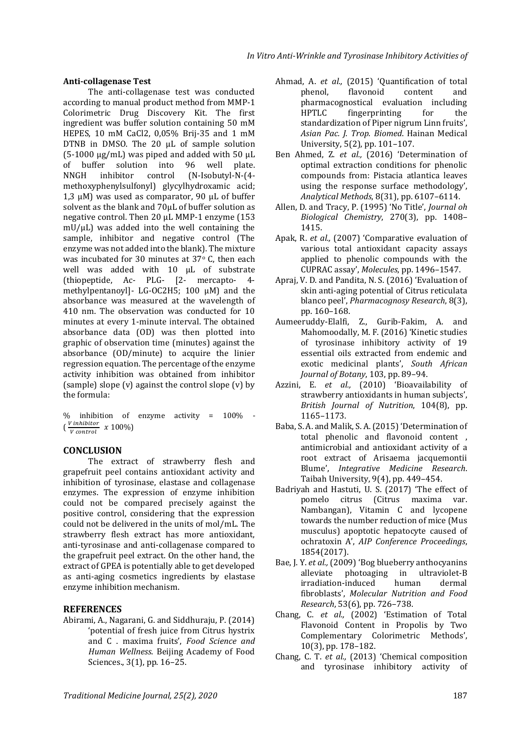# **Anti-collagenase Test**

The anti-collagenase test was conducted according to manual product method from MMP-1 Colorimetric Drug Discovery Kit. The first ingredient was buffer solution containing 50 mM HEPES, 10 mM CaCl2, 0,05% Brij-35 and 1 mM DTNB in DMSO. The 20 μL of sample solution  $(5-1000 \mu g/mL)$  was piped and added with 50  $\mu L$ of buffer solution into 96 well plate. NNGH inhibitor control (N-Isobutyl-N-(4 methoxyphenylsulfonyl) glycylhydroxamic acid; 1,3  $μ$ M) was used as comparator, 90  $μ$ L of buffer solvent as the blank and 70μL of buffer solution as negative control. Then 20 μL MMP-1 enzyme (153 mU/μL) was added into the well containing the sample, inhibitor and negative control (The enzyme was not added into the blank). The mixture was incubated for 30 minutes at 37° C, then each well was added with 10 μL of substrate (thiopeptide, Ac- PLG- [2- mercapto- 4 methylpentanoyl]- LG-OC2H5; 100 μM) and the absorbance was measured at the wavelength of 410 nm. The observation was conducted for 10 minutes at every 1-minute interval. The obtained absorbance data (OD) was then plotted into graphic of observation time (minutes) against the absorbance (OD/minute) to acquire the linier regression equation. The percentage of the enzyme activity inhibition was obtained from inhibitor (sample) slope (v) against the control slope (v) by the formula:

% inhibition of enzyme activity = 100% -  $\left(\frac{V\text{ inhibitor}}{V\text{ content}}\right)$  $\frac{V}{V}$  control  $\frac{V}{V}$  (100%)

## **CONCLUSION**

The extract of strawberry flesh and grapefruit peel contains antioxidant activity and inhibition of tyrosinase, elastase and collagenase enzymes. The expression of enzyme inhibition could not be compared precisely against the positive control, considering that the expression could not be delivered in the units of mol/mL. The strawberry flesh extract has more antioxidant, anti-tyrosinase and anti-collagenase compared to the grapefruit peel extract. On the other hand, the extract of GPEA is potentially able to get developed as anti-aging cosmetics ingredients by elastase enzyme inhibition mechanism.

# **REFERENCES**

Abirami, A., Nagarani, G. and Siddhuraju, P. (2014) 'potential of fresh juice from Citrus hystrix and C . maxima fruits', *Food Science and Human Wellness*. Beijing Academy of Food Sciences., 3(1), pp. 16–25.

- Ahmad, A. *et al.,* (2015) 'Quantification of total phenol, flavonoid content and pharmacognostical evaluation including HPTLC fingerprinting for the standardization of Piper nigrum Linn fruits', *Asian Pac. J. Trop. Biomed*. Hainan Medical University, 5(2), pp. 101–107.
- Ben Ahmed, Z. *et al.,* (2016) 'Determination of optimal extraction conditions for phenolic compounds from: Pistacia atlantica leaves using the response surface methodology', *Analytical Methods*, 8(31), pp. 6107–6114.
- Allen, D. and Tracy, P. (1995) 'No Title', *Journal oh Biological Chemistry*, 270(3), pp. 1408– 1415.
- Apak, R. *et al.,* (2007) 'Comparative evaluation of various total antioxidant capacity assays applied to phenolic compounds with the CUPRAC assay', *Molecules*, pp. 1496–1547.
- Apraj, V. D. and Pandita, N. S. (2016) 'Evaluation of skin anti-aging potential of Citrus reticulata blanco peel', *Pharmacognosy Research*, 8(3), pp. 160–168.
- Aumeeruddy-Elalfi, Z., Gurib-Fakim, A. and Mahomoodally, M. F. (2016) 'Kinetic studies of tyrosinase inhibitory activity of 19 essential oils extracted from endemic and exotic medicinal plants', *South African Journal of Botany*, 103, pp. 89–94.
- Azzini, E. *et al.,* (2010) 'Bioavailability of strawberry antioxidants in human subjects', *British Journal of Nutrition*, 104(8), pp. 1165–1173.
- Baba, S. A. and Malik, S. A. (2015) 'Determination of total phenolic and flavonoid content , antimicrobial and antioxidant activity of a root extract of Arisaema jacquemontii Blume', *Integrative Medicine Research*. Taibah University, 9(4), pp. 449–454.
- Badriyah and Hastuti, U. S. (2017) 'The effect of pomelo citrus (Citrus maxima var. Nambangan), Vitamin C and lycopene towards the number reduction of mice (Mus musculus) apoptotic hepatocyte caused of ochratoxin A', *AIP Conference Proceedings*, 1854(2017).
- Bae, J. Y. *et al.,* (2009) 'Bog blueberry anthocyanins alleviate photoaging in ultraviolet-B irradiation-induced human dermal fibroblasts', *Molecular Nutrition and Food Research*, 53(6), pp. 726–738.
- Chang, C. *et al.,* (2002) 'Estimation of Total Flavonoid Content in Propolis by Two Complementary Colorimetric Methods', 10(3), pp. 178–182.
- Chang, C. T. *et al.,* (2013) 'Chemical composition and tyrosinase inhibitory activity of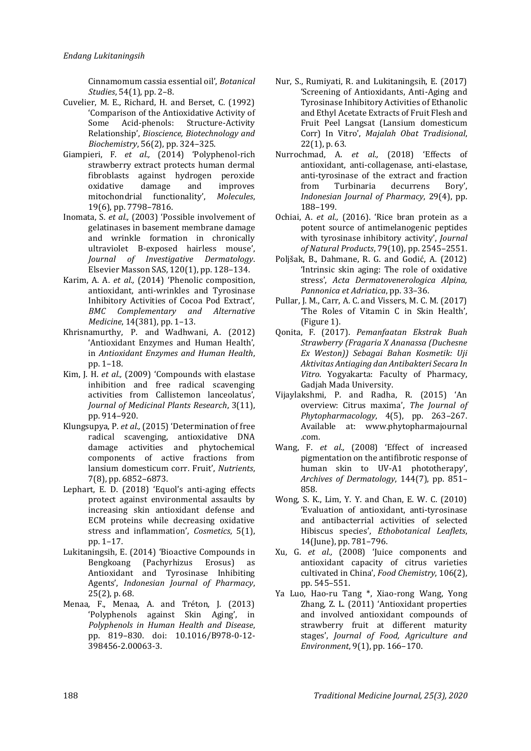Cinnamomum cassia essential oil', *Botanical Studies*, 54(1), pp. 2–8.

- Cuvelier, M. E., Richard, H. and Berset, C. (1992) 'Comparison of the Antioxidative Activity of Some Acid-phenols: Structure-Activity Relationship', *Bioscience, Biotechnology and Biochemistry*, 56(2), pp. 324–325.
- Giampieri, F. *et al.,* (2014) 'Polyphenol-rich strawberry extract protects human dermal fibroblasts against hydrogen peroxide oxidative damage and improves mitochondrial functionality', *Molecules*, 19(6), pp. 7798–7816.
- Inomata, S. *et al.,* (2003) 'Possible involvement of gelatinases in basement membrane damage and wrinkle formation in chronically ultraviolet B-exposed hairless mouse', *Journal of Investigative Dermatology*. Elsevier Masson SAS, 120(1), pp. 128–134.
- Karim, A. A. *et al.,* (2014) 'Phenolic composition, antioxidant, anti-wrinkles and Tyrosinase Inhibitory Activities of Cocoa Pod Extract', *BMC Complementary and Alternative Medicine*, 14(381), pp. 1–13.
- Khrisnamurthy, P. and Wadhwani, A. (2012) 'Antioxidant Enzymes and Human Health', in *Antioxidant Enzymes and Human Health*, pp. 1–18.
- Kim, J. H. *et al.,* (2009) 'Compounds with elastase inhibition and free radical scavenging activities from Callistemon lanceolatus', *Journal of Medicinal Plants Research*, 3(11), pp. 914–920.
- Klungsupya, P. *et al.,* (2015) 'Determination of free radical scavenging, antioxidative DNA damage activities and phytochemical components of active fractions from lansium domesticum corr. Fruit', *Nutrients*, 7(8), pp. 6852–6873.
- Lephart, E. D. (2018) 'Equol's anti-aging effects protect against environmental assaults by increasing skin antioxidant defense and ECM proteins while decreasing oxidative stress and inflammation', *Cosmetics*, 5(1), pp. 1–17.
- Lukitaningsih, E. (2014) 'Bioactive Compounds in Bengkoang (Pachyrhizus Erosus) as Antioxidant and Tyrosinase Inhibiting Agents', *Indonesian Journal of Pharmacy*, 25(2), p. 68.
- Menaa, F., Menaa, A. and Tréton, J. (2013) 'Polyphenols against Skin Aging', in *Polyphenols in Human Health and Disease*, pp. 819–830. doi: 10.1016/B978-0-12- 398456-2.00063-3.
- Nur, S., Rumiyati, R. and Lukitaningsih, E. (2017) 'Screening of Antioxidants, Anti-Aging and Tyrosinase Inhibitory Activities of Ethanolic and Ethyl Acetate Extracts of Fruit Flesh and Fruit Peel Langsat (Lansium domesticum Corr) In Vitro', *Majalah Obat Tradisional*, 22(1), p. 63.
- Nurrochmad, A. *et al.,* (2018) 'Effects of antioxidant, anti-collagenase, anti-elastase, anti-tyrosinase of the extract and fraction from Turbinaria decurrens Bory', *Indonesian Journal of Pharmacy*, 29(4), pp. 188–199.
- Ochiai, A. *et al.,* (2016). 'Rice bran protein as a potent source of antimelanogenic peptides with tyrosinase inhibitory activity', *Journal of Natural Products*, 79(10), pp. 2545–2551.
- Poljšak, B., Dahmane, R. G. and Godić, A. (2012) 'Intrinsic skin aging: The role of oxidative stress', *Acta Dermatovenerologica Alpina, Pannonica et Adriatica*, pp. 33–36.
- Pullar, J. M., Carr, A. C. and Vissers, M. C. M. (2017) 'The Roles of Vitamin C in Skin Health', (Figure 1).
- Qonita, F. (2017). *Pemanfaatan Ekstrak Buah Strawberry (Fragaria X Ananassa (Duchesne Ex Weston)) Sebagai Bahan Kosmetik: Uji Aktivitas Antiaging dan Antibakteri Secara In Vitro*. Yogyakarta: Faculty of Pharmacy, Gadjah Mada University.
- Vijaylakshmi, P. and Radha, R. (2015) 'An overview: Citrus maxima', *The Journal of Phytopharmacology*, 4(5), pp. 263–267. Available at: [www.phytopharmajournal](http://www.phytopharmajournal/) .com.
- Wang, F. *et al.,* (2008) 'Effect of increased pigmentation on the antifibrotic response of human skin to UV-A1 phototherapy', *Archives of Dermatology*, 144(7), pp. 851– 858.
- Wong, S. K., Lim, Y. Y. and Chan, E. W. C. (2010) 'Evaluation of antioxidant, anti-tyrosinase and antibacterrial activities of selected Hibiscus species', *Ethobotanical Leaflets*, 14(June), pp. 781–796.
- Xu, G. *et al.,* (2008) 'Juice components and antioxidant capacity of citrus varieties cultivated in China', *Food Chemistry*, 106(2), pp. 545–551.
- Ya Luo, Hao-ru Tang \*, Xiao-rong Wang, Yong Zhang, Z. L. (2011) 'Antioxidant properties and involved antioxidant compounds of strawberry fruit at different maturity stages', *Journal of Food, Agriculture and Environment*, 9(1), pp. 166–170.